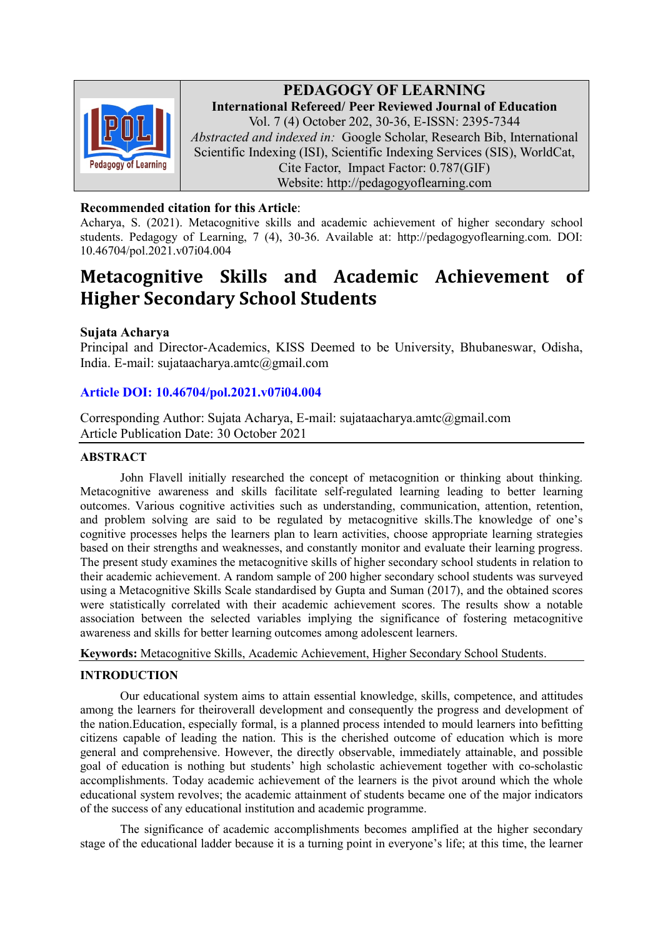

PEDAGOGY OF LEARNING International Refereed/ Peer Reviewed Journal of Education Vol. 7 (4) October 202, 30-36, E-ISSN: 2395-7344 Abstracted and indexed in: Google Scholar, Research Bib, International Scientific Indexing (ISI), Scientific Indexing Services (SIS), WorldCat, Cite Factor, Impact Factor: 0.787(GIF) Website: http://pedagogyoflearning.com

# Recommended citation for this Article:

Acharya, S. (2021). Metacognitive skills and academic achievement of higher secondary school students. Pedagogy of Learning, 7 (4), 30-36. Available at: http://pedagogyoflearning.com. DOI: 10.46704/pol.2021.v07i04.004

# Metacognitive Skills and Academic Achievement of Higher Secondary School Students

# Sujata Acharya

Principal and Director-Academics, KISS Deemed to be University, Bhubaneswar, Odisha, India. E-mail: sujataacharya.amtc@gmail.com

# Article DOI: 10.46704/pol.2021.v07i04.004

Corresponding Author: Sujata Acharya, E-mail: sujataacharya.amtc@gmail.com Article Publication Date: 30 October 2021

## ABSTRACT

John Flavell initially researched the concept of metacognition or thinking about thinking. Metacognitive awareness and skills facilitate self-regulated learning leading to better learning outcomes. Various cognitive activities such as understanding, communication, attention, retention, and problem solving are said to be regulated by metacognitive skills.The knowledge of one's cognitive processes helps the learners plan to learn activities, choose appropriate learning strategies based on their strengths and weaknesses, and constantly monitor and evaluate their learning progress. The present study examines the metacognitive skills of higher secondary school students in relation to their academic achievement. A random sample of 200 higher secondary school students was surveyed using a Metacognitive Skills Scale standardised by Gupta and Suman (2017), and the obtained scores were statistically correlated with their academic achievement scores. The results show a notable association between the selected variables implying the significance of fostering metacognitive awareness and skills for better learning outcomes among adolescent learners.

Keywords: Metacognitive Skills, Academic Achievement, Higher Secondary School Students.

## INTRODUCTION

Our educational system aims to attain essential knowledge, skills, competence, and attitudes among the learners for theiroverall development and consequently the progress and development of the nation.Education, especially formal, is a planned process intended to mould learners into befitting citizens capable of leading the nation. This is the cherished outcome of education which is more general and comprehensive. However, the directly observable, immediately attainable, and possible goal of education is nothing but students' high scholastic achievement together with co-scholastic accomplishments. Today academic achievement of the learners is the pivot around which the whole educational system revolves; the academic attainment of students became one of the major indicators of the success of any educational institution and academic programme.

 The significance of academic accomplishments becomes amplified at the higher secondary stage of the educational ladder because it is a turning point in everyone's life; at this time, the learner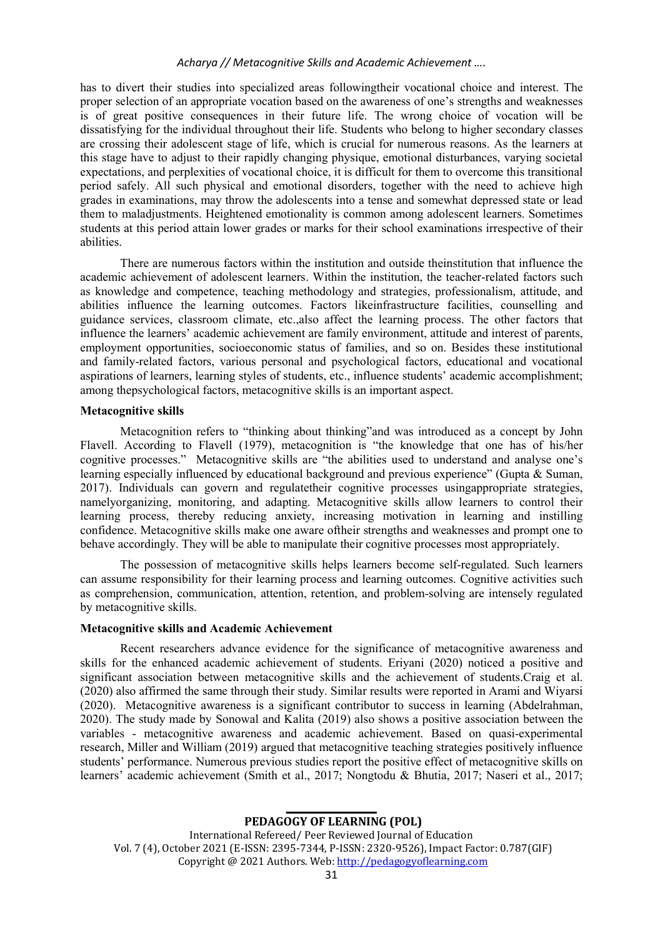#### Acharya // Metacognitive Skills and Academic Achievement ….

has to divert their studies into specialized areas followingtheir vocational choice and interest. The proper selection of an appropriate vocation based on the awareness of one's strengths and weaknesses is of great positive consequences in their future life. The wrong choice of vocation will be dissatisfying for the individual throughout their life. Students who belong to higher secondary classes are crossing their adolescent stage of life, which is crucial for numerous reasons. As the learners at this stage have to adjust to their rapidly changing physique, emotional disturbances, varying societal expectations, and perplexities of vocational choice, it is difficult for them to overcome this transitional period safely. All such physical and emotional disorders, together with the need to achieve high grades in examinations, may throw the adolescents into a tense and somewhat depressed state or lead them to maladjustments. Heightened emotionality is common among adolescent learners. Sometimes students at this period attain lower grades or marks for their school examinations irrespective of their abilities.

 There are numerous factors within the institution and outside theinstitution that influence the academic achievement of adolescent learners. Within the institution, the teacher-related factors such as knowledge and competence, teaching methodology and strategies, professionalism, attitude, and abilities influence the learning outcomes. Factors likeinfrastructure facilities, counselling and guidance services, classroom climate, etc.,also affect the learning process. The other factors that influence the learners' academic achievement are family environment, attitude and interest of parents, employment opportunities, socioeconomic status of families, and so on. Besides these institutional and family-related factors, various personal and psychological factors, educational and vocational aspirations of learners, learning styles of students, etc., influence students' academic accomplishment; among thepsychological factors, metacognitive skills is an important aspect.

## Metacognitive skills

 Metacognition refers to "thinking about thinking"and was introduced as a concept by John Flavell. According to Flavell (1979), metacognition is "the knowledge that one has of his/her cognitive processes." Metacognitive skills are "the abilities used to understand and analyse one's learning especially influenced by educational background and previous experience" (Gupta & Suman, 2017). Individuals can govern and regulatetheir cognitive processes usingappropriate strategies, namelyorganizing, monitoring, and adapting. Metacognitive skills allow learners to control their learning process, thereby reducing anxiety, increasing motivation in learning and instilling confidence. Metacognitive skills make one aware oftheir strengths and weaknesses and prompt one to behave accordingly. They will be able to manipulate their cognitive processes most appropriately.

 The possession of metacognitive skills helps learners become self-regulated. Such learners can assume responsibility for their learning process and learning outcomes. Cognitive activities such as comprehension, communication, attention, retention, and problem-solving are intensely regulated by metacognitive skills.

## Metacognitive skills and Academic Achievement

 Recent researchers advance evidence for the significance of metacognitive awareness and skills for the enhanced academic achievement of students. Eriyani (2020) noticed a positive and significant association between metacognitive skills and the achievement of students.Craig et al. (2020) also affirmed the same through their study. Similar results were reported in Arami and Wiyarsi (2020). Metacognitive awareness is a significant contributor to success in learning (Abdelrahman, 2020). The study made by Sonowal and Kalita (2019) also shows a positive association between the variables - metacognitive awareness and academic achievement. Based on quasi-experimental research, Miller and William (2019) argued that metacognitive teaching strategies positively influence students' performance. Numerous previous studies report the positive effect of metacognitive skills on learners' academic achievement (Smith et al., 2017; Nongtodu & Bhutia, 2017; Naseri et al., 2017;

PEDAGOGY OF LEARNING (POL) International Refereed/ Peer Reviewed Journal of Education Vol. 7 (4), October 2021 (E-ISSN: 2395-7344, P-ISSN: 2320-9526), Impact Factor: 0.787(GIF) Copyright @ 2021 Authors. Web: http://pedagogyoflearning.com

 $\overline{\phantom{a}}$  , where  $\overline{\phantom{a}}$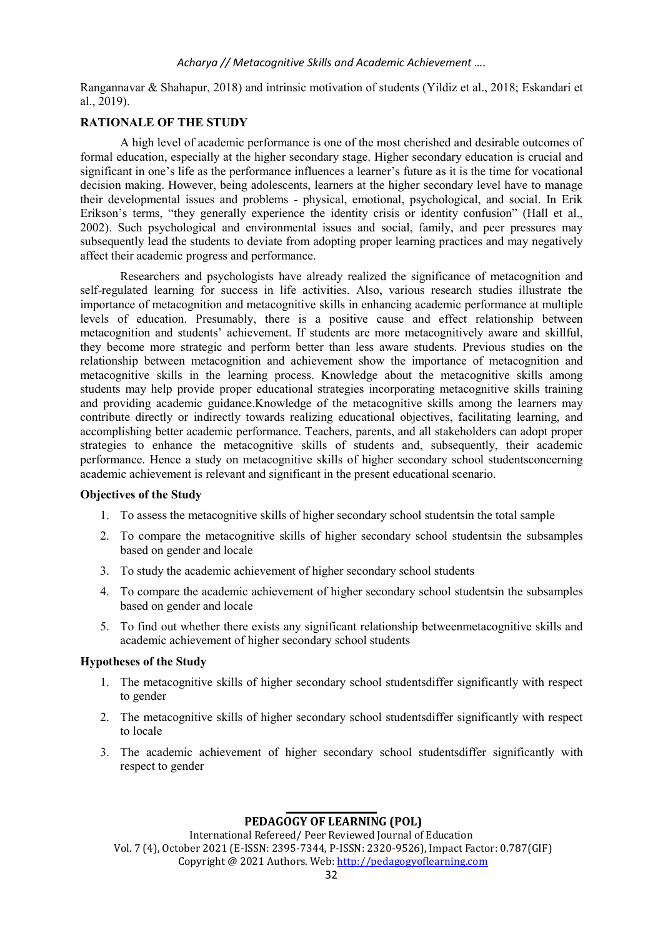Rangannavar & Shahapur, 2018) and intrinsic motivation of students (Yildiz et al., 2018; Eskandari et al., 2019).

## RATIONALE OF THE STUDY

 A high level of academic performance is one of the most cherished and desirable outcomes of formal education, especially at the higher secondary stage. Higher secondary education is crucial and significant in one's life as the performance influences a learner's future as it is the time for vocational decision making. However, being adolescents, learners at the higher secondary level have to manage their developmental issues and problems - physical, emotional, psychological, and social. In Erik Erikson's terms, "they generally experience the identity crisis or identity confusion" (Hall et al., 2002). Such psychological and environmental issues and social, family, and peer pressures may subsequently lead the students to deviate from adopting proper learning practices and may negatively affect their academic progress and performance.

 Researchers and psychologists have already realized the significance of metacognition and self-regulated learning for success in life activities. Also, various research studies illustrate the importance of metacognition and metacognitive skills in enhancing academic performance at multiple levels of education. Presumably, there is a positive cause and effect relationship between metacognition and students' achievement. If students are more metacognitively aware and skillful, they become more strategic and perform better than less aware students. Previous studies on the relationship between metacognition and achievement show the importance of metacognition and metacognitive skills in the learning process. Knowledge about the metacognitive skills among students may help provide proper educational strategies incorporating metacognitive skills training and providing academic guidance.Knowledge of the metacognitive skills among the learners may contribute directly or indirectly towards realizing educational objectives, facilitating learning, and accomplishing better academic performance. Teachers, parents, and all stakeholders can adopt proper strategies to enhance the metacognitive skills of students and, subsequently, their academic performance. Hence a study on metacognitive skills of higher secondary school studentsconcerning academic achievement is relevant and significant in the present educational scenario.

## Objectives of the Study

- 1. To assess the metacognitive skills of higher secondary school studentsin the total sample
- 2. To compare the metacognitive skills of higher secondary school studentsin the subsamples based on gender and locale
- 3. To study the academic achievement of higher secondary school students
- 4. To compare the academic achievement of higher secondary school studentsin the subsamples based on gender and locale
- 5. To find out whether there exists any significant relationship betweenmetacognitive skills and academic achievement of higher secondary school students

## Hypotheses of the Study

- 1. The metacognitive skills of higher secondary school studentsdiffer significantly with respect to gender
- 2. The metacognitive skills of higher secondary school studentsdiffer significantly with respect to locale
- 3. The academic achievement of higher secondary school studentsdiffer significantly with respect to gender

## $\overline{\phantom{a}}$  , where  $\overline{\phantom{a}}$ PEDAGOGY OF LEARNING (POL)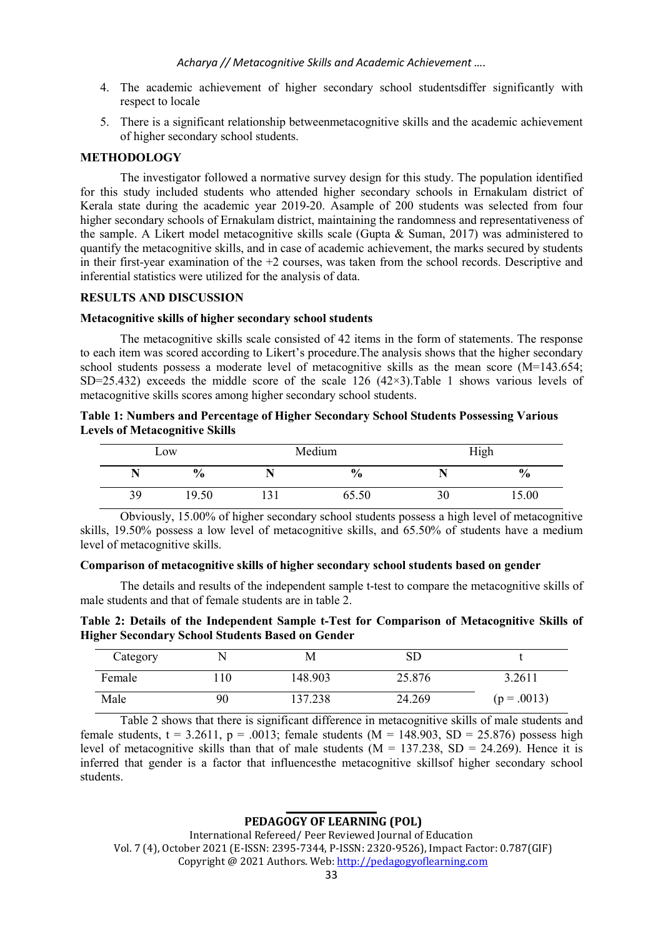- 4. The academic achievement of higher secondary school studentsdiffer significantly with respect to locale
- 5. There is a significant relationship betweenmetacognitive skills and the academic achievement of higher secondary school students.

#### **METHODOLOGY**

 The investigator followed a normative survey design for this study. The population identified for this study included students who attended higher secondary schools in Ernakulam district of Kerala state during the academic year 2019-20. Asample of 200 students was selected from four higher secondary schools of Ernakulam district, maintaining the randomness and representativeness of the sample. A Likert model metacognitive skills scale (Gupta & Suman, 2017) was administered to quantify the metacognitive skills, and in case of academic achievement, the marks secured by students in their first-year examination of the  $+2$  courses, was taken from the school records. Descriptive and inferential statistics were utilized for the analysis of data.

#### RESULTS AND DISCUSSION

#### Metacognitive skills of higher secondary school students

 The metacognitive skills scale consisted of 42 items in the form of statements. The response to each item was scored according to Likert's procedure.The analysis shows that the higher secondary school students possess a moderate level of metacognitive skills as the mean score (M=143.654; SD=25.432) exceeds the middle score of the scale 126  $(42\times3)$ .Table 1 shows various levels of metacognitive skills scores among higher secondary school students.

## Table 1: Numbers and Percentage of Higher Secondary School Students Possessing Various Levels of Metacognitive Skills

| Low |               | Medium |               | High |               |
|-----|---------------|--------|---------------|------|---------------|
|     | $\frac{6}{9}$ |        | $\frac{0}{0}$ |      | $\frac{6}{9}$ |
| 39  | 19.50         | 1 J 1  | 65.50         | 30   | 15.00         |

 Obviously, 15.00% of higher secondary school students possess a high level of metacognitive skills, 19.50% possess a low level of metacognitive skills, and 65.50% of students have a medium level of metacognitive skills.

## Comparison of metacognitive skills of higher secondary school students based on gender

 The details and results of the independent sample t-test to compare the metacognitive skills of male students and that of female students are in table 2.

Table 2: Details of the Independent Sample t-Test for Comparison of Metacognitive Skills of Higher Secondary School Students Based on Gender

| Category |      | M       | SГ     |             |
|----------|------|---------|--------|-------------|
| Female   | . 10 | 148.903 | 25.876 | 3.2611      |
| Male     | 90   | 137.238 | 24.269 | $(p=.0013)$ |

 Table 2 shows that there is significant difference in metacognitive skills of male students and female students,  $t = 3.2611$ ,  $p = .0013$ ; female students (M = 148.903, SD = 25.876) possess high level of metacognitive skills than that of male students ( $M = 137.238$ , SD = 24.269). Hence it is inferred that gender is a factor that influencesthe metacognitive skillsof higher secondary school students.

## $\overline{\phantom{a}}$  , where  $\overline{\phantom{a}}$ PEDAGOGY OF LEARNING (POL)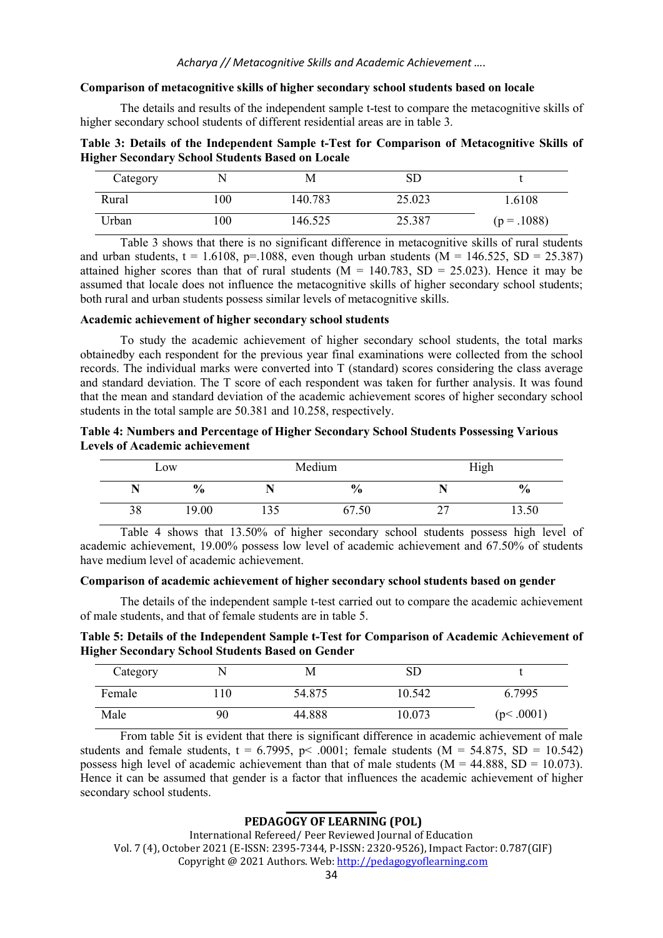#### Comparison of metacognitive skills of higher secondary school students based on locale

 The details and results of the independent sample t-test to compare the metacognitive skills of higher secondary school students of different residential areas are in table 3.

Table 3: Details of the Independent Sample t-Test for Comparison of Metacognitive Skills of Higher Secondary School Students Based on Locale

| Category |     | M       | SD     |             |
|----------|-----|---------|--------|-------------|
| Rural    | 100 | 140.783 | 25.023 | 1.6108      |
| Urban    | 100 | 146.525 | 25.387 | $(p=.1088)$ |

 Table 3 shows that there is no significant difference in metacognitive skills of rural students and urban students,  $t = 1.6108$ , p=.1088, even though urban students (M = 146.525, SD = 25.387) attained higher scores than that of rural students ( $M = 140.783$ , SD = 25.023). Hence it may be assumed that locale does not influence the metacognitive skills of higher secondary school students; both rural and urban students possess similar levels of metacognitive skills.

#### Academic achievement of higher secondary school students

 To study the academic achievement of higher secondary school students, the total marks obtainedby each respondent for the previous year final examinations were collected from the school records. The individual marks were converted into T (standard) scores considering the class average and standard deviation. The T score of each respondent was taken for further analysis. It was found that the mean and standard deviation of the academic achievement scores of higher secondary school students in the total sample are 50.381 and 10.258, respectively.

| Table 4: Numbers and Percentage of Higher Secondary School Students Possessing Various |  |
|----------------------------------------------------------------------------------------|--|
| <b>Levels of Academic achievement</b>                                                  |  |

| Low |               | Medium                     |               |                          | High          |
|-----|---------------|----------------------------|---------------|--------------------------|---------------|
|     | $\frac{6}{9}$ |                            | $\frac{6}{6}$ |                          | $\frac{0}{0}$ |
| 38  | 19.00         | $\gamma$ $\epsilon$<br>.33 | 57.50         | $\overline{\phantom{a}}$ | 13.50         |

 Table 4 shows that 13.50% of higher secondary school students possess high level of academic achievement, 19.00% possess low level of academic achievement and 67.50% of students have medium level of academic achievement.

#### Comparison of academic achievement of higher secondary school students based on gender

 The details of the independent sample t-test carried out to compare the academic achievement of male students, and that of female students are in table 5.

Table 5: Details of the Independent Sample t-Test for Comparison of Academic Achievement of Higher Secondary School Students Based on Gender

| Category | N   | M      | SГ     |           |
|----------|-----|--------|--------|-----------|
| Female   | .10 | 54.875 | 10.542 | 6.7995    |
| Male     | 90  | 44.888 | 10.073 | (p<.0001) |

 From table 5it is evident that there is significant difference in academic achievement of male students and female students,  $t = 6.7995$ ,  $p < .0001$ ; female students (M = 54.875, SD = 10.542) possess high level of academic achievement than that of male students ( $M = 44.888$ , SD = 10.073). Hence it can be assumed that gender is a factor that influences the academic achievement of higher secondary school students.

## $\overline{\phantom{a}}$  , where  $\overline{\phantom{a}}$ PEDAGOGY OF LEARNING (POL)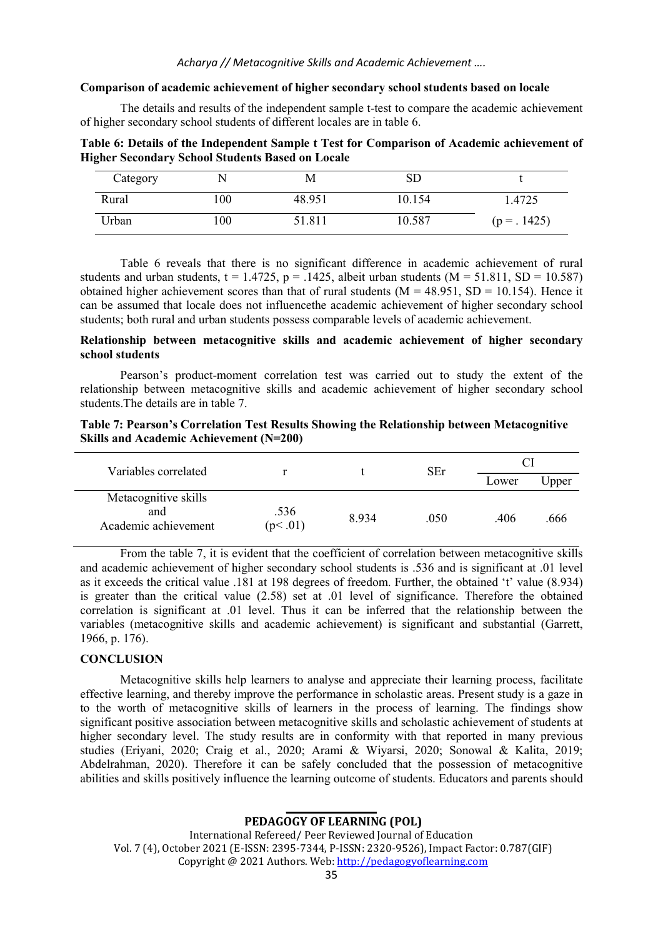#### Comparison of academic achievement of higher secondary school students based on locale

 The details and results of the independent sample t-test to compare the academic achievement of higher secondary school students of different locales are in table 6.

Table 6: Details of the Independent Sample t Test for Comparison of Academic achievement of Higher Secondary School Students Based on Locale

| Category |         | M      | SD     |                |
|----------|---------|--------|--------|----------------|
| Rural    | 100     | 48.951 | 10.154 | 1.4725         |
| Urban    | $_{00}$ | 51.811 | 10.587 | $(p = . 1425)$ |

Table 6 reveals that there is no significant difference in academic achievement of rural students and urban students,  $t = 1.4725$ ,  $p = .1425$ , albeit urban students (M = 51.811, SD = 10.587) obtained higher achievement scores than that of rural students ( $M = 48.951$ ,  $SD = 10.154$ ). Hence it can be assumed that locale does not influencethe academic achievement of higher secondary school students; both rural and urban students possess comparable levels of academic achievement.

## Relationship between metacognitive skills and academic achievement of higher secondary school students

 Pearson's product-moment correlation test was carried out to study the extent of the relationship between metacognitive skills and academic achievement of higher secondary school students.The details are in table 7.

|  |                                         |  | Table 7: Pearson's Correlation Test Results Showing the Relationship between Metacognitive |  |
|--|-----------------------------------------|--|--------------------------------------------------------------------------------------------|--|
|  | Skills and Academic Achievement (N=200) |  |                                                                                            |  |

| Variables correlated                                |                 |       | SEr  |       |       |
|-----------------------------------------------------|-----------------|-------|------|-------|-------|
|                                                     |                 |       |      | Lower | Jpper |
| Metacognitive skills<br>and<br>Academic achievement | .536<br>(p<.01) | 8.934 | .050 | .406  | .666  |

 From the table 7, it is evident that the coefficient of correlation between metacognitive skills and academic achievement of higher secondary school students is .536 and is significant at .01 level as it exceeds the critical value .181 at 198 degrees of freedom. Further, the obtained 't' value (8.934) is greater than the critical value (2.58) set at .01 level of significance. Therefore the obtained correlation is significant at .01 level. Thus it can be inferred that the relationship between the variables (metacognitive skills and academic achievement) is significant and substantial (Garrett, 1966, p. 176).

#### **CONCLUSION**

Metacognitive skills help learners to analyse and appreciate their learning process, facilitate effective learning, and thereby improve the performance in scholastic areas. Present study is a gaze in to the worth of metacognitive skills of learners in the process of learning. The findings show significant positive association between metacognitive skills and scholastic achievement of students at higher secondary level. The study results are in conformity with that reported in many previous studies (Eriyani, 2020; Craig et al., 2020; Arami & Wiyarsi, 2020; Sonowal & Kalita, 2019; Abdelrahman, 2020). Therefore it can be safely concluded that the possession of metacognitive abilities and skills positively influence the learning outcome of students. Educators and parents should

PEDAGOGY OF LEARNING (POL) International Refereed/ Peer Reviewed Journal of Education Vol. 7 (4), October 2021 (E-ISSN: 2395-7344, P-ISSN: 2320-9526), Impact Factor: 0.787(GIF) Copyright @ 2021 Authors. Web: http://pedagogyoflearning.com

 $\overline{\phantom{a}}$  , where  $\overline{\phantom{a}}$